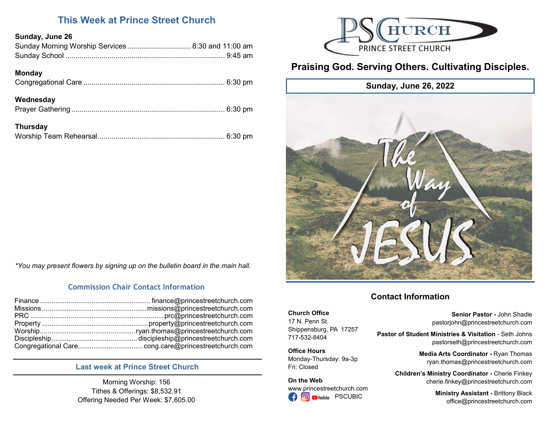## **This Week at Prince Street Church**

## **Sunday, June 26**

| Sunday Morning Worship Services  8:30 and 11:00 am |  |
|----------------------------------------------------|--|
|                                                    |  |

## **Monday**

| Wednesday       |  |
|-----------------|--|
| <b>Thursday</b> |  |



# **Praising God. Serving Others. Cultivating Disciples.**



**Church Office** 17 N. Penn St.

717-532-8404 **Office Hours**

Fri: Closed **On the Web**

Shippensburg, PA 17257

Monday-Thursday: 9a-3p

www.princestreetchurch.com **O** PYouTube PSCUBIC

# **Contact Information**

**Senior Pastor -** John Shadle pastorjohn@princestreetchurch.com

**Pastor of Student Ministries & Visitation** - Seth Johns pastorseth@princestreetchurch.com

> **Media Arts Coordinator -** Ryan Thomas ryan.thomas@princestreetchurch.com

**Children's Ministry Coordinator -** Cherie Finkey cherie.finkey@princestreetchurch.com

> **Ministry Assistant -** Brittony Black office@princestreetchurch.com

*\*You may present flowers by signing up on the bulletin board in the main hall.*

## **Commission Chair Contact Information**

## **Last week at Prince Street Church**

Morning Worship: 156 Tithes & Offerings: \$8,532.91 Offering Needed Per Week: \$7,605.00